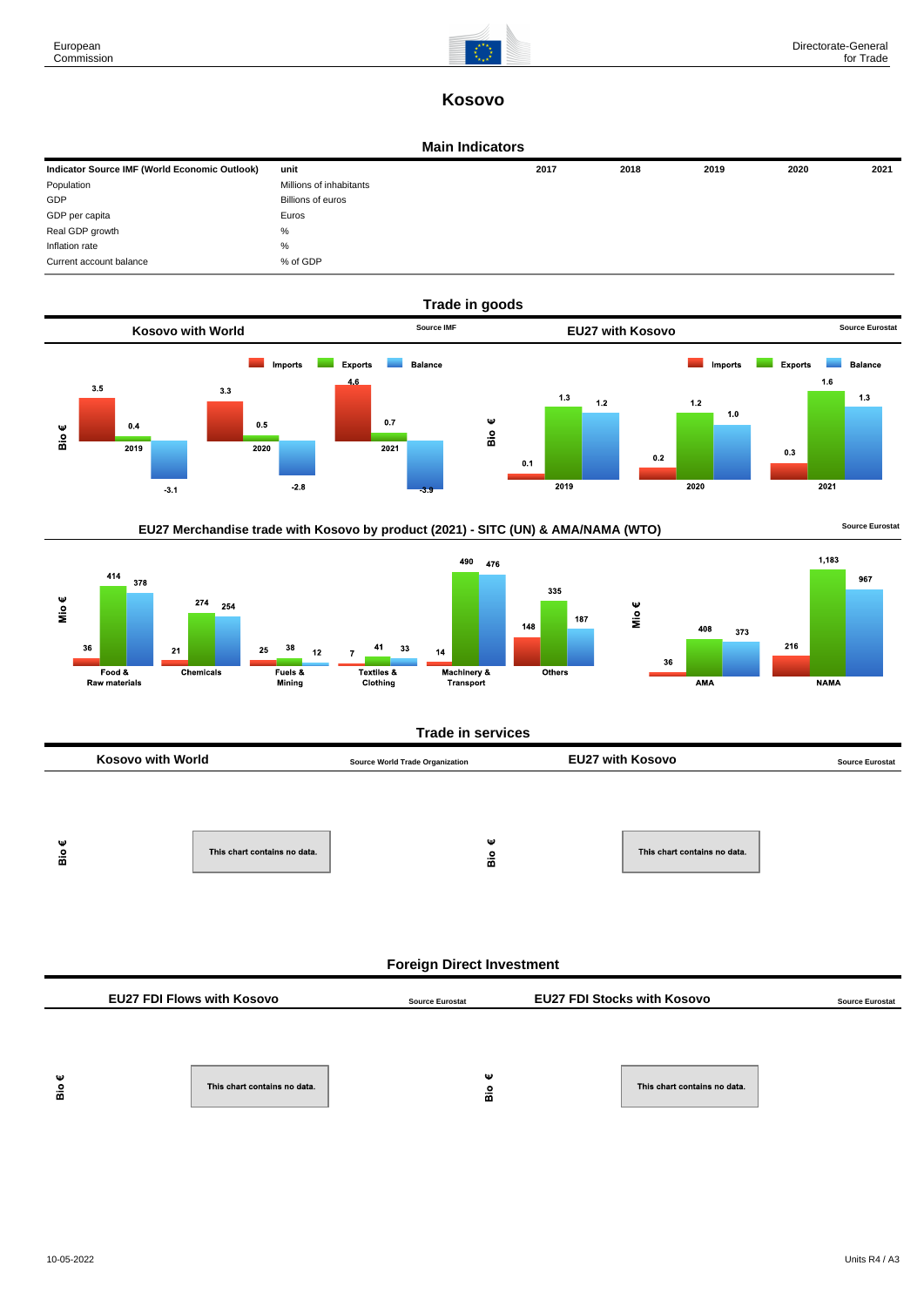

1,183

 $NAMA$ 

967

# **Kosovo**

#### **Main Indicators**

| Indicator Source IMF (World Economic Outlook) | unit                    | 2017 | 2018 | 2019 | 2020 | 2021 |
|-----------------------------------------------|-------------------------|------|------|------|------|------|
| Population                                    | Millions of inhabitants |      |      |      |      |      |
| GDP                                           | Billions of euros       |      |      |      |      |      |
| GDP per capita                                | Euros                   |      |      |      |      |      |
| Real GDP growth                               | %                       |      |      |      |      |      |
| Inflation rate                                | %                       |      |      |      |      |      |
| Current account balance                       | % of GDP                |      |      |      |      |      |





### **Trade in services**

|        | <b>Kosovo with World</b> |                              | <b>Source World Trade Organization</b> | <b>EU27 with Kosovo</b>      | <b>Source Eurostat</b> |
|--------|--------------------------|------------------------------|----------------------------------------|------------------------------|------------------------|
|        |                          |                              |                                        |                              |                        |
|        |                          |                              |                                        |                              |                        |
| ω<br>ā |                          | This chart contains no data. | Ψ<br>с<br>ã                            | This chart contains no data. |                        |

| <b>Foreign Direct Investment</b> |  |  |
|----------------------------------|--|--|
|                                  |  |  |

|        | <b>EU27 FDI Flows with Kosovo</b> |                              | <b>Source Eurostat</b> | <b>EU27 FDI Stocks with Kosovo</b> | <b>Source Eurostat</b> |
|--------|-----------------------------------|------------------------------|------------------------|------------------------------------|------------------------|
|        |                                   |                              |                        |                                    |                        |
|        |                                   |                              |                        |                                    |                        |
| Ψ<br>å |                                   | This chart contains no data. | Ψ<br>္ထိ               | This chart contains no data.       |                        |